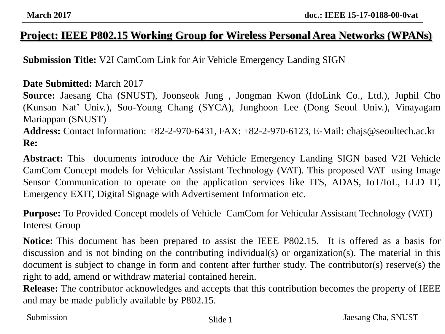#### **Project: IEEE P802.15 Working Group for Wireless Personal Area Networks (WPANs)**

**Submission Title:** V2I CamCom Link for Air Vehicle Emergency Landing SIGN

#### **Date Submitted:** March 2017

**Source:** Jaesang Cha (SNUST), Joonseok Jung , Jongman Kwon (IdoLink Co., Ltd.), Juphil Cho (Kunsan Nat' Univ.), Soo-Young Chang (SYCA), Junghoon Lee (Dong Seoul Univ.), Vinayagam Mariappan (SNUST) **Address:** Contact Information: +82-2-970-6431, FAX: +82-2-970-6123, E-Mail: chajs@seoultech.ac.kr

**Re:**

**Abstract:** This documents introduce the Air Vehicle Emergency Landing SIGN based V2I Vehicle CamCom Concept models for Vehicular Assistant Technology (VAT). This proposed VAT using Image Sensor Communication to operate on the application services like ITS, ADAS, IoT/IoL, LED IT, Emergency EXIT, Digital Signage with Advertisement Information etc.

**Purpose:** To Provided Concept models of Vehicle CamCom for Vehicular Assistant Technology (VAT) Interest Group

**Notice:** This document has been prepared to assist the IEEE P802.15. It is offered as a basis for discussion and is not binding on the contributing individual(s) or organization(s). The material in this document is subject to change in form and content after further study. The contributor(s) reserve(s) the right to add, amend or withdraw material contained herein.

**Release:** The contributor acknowledges and accepts that this contribution becomes the property of IEEE and may be made publicly available by P802.15.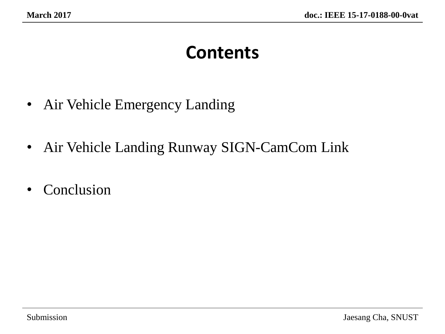### **Contents**

- Air Vehicle Emergency Landing
- Air Vehicle Landing Runway SIGN-CamCom Link
- Conclusion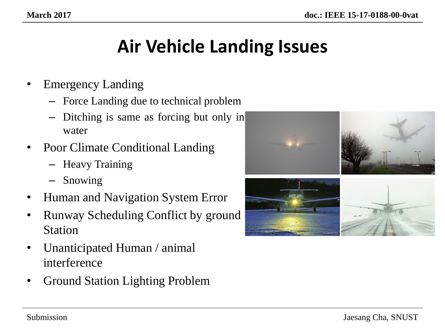## **Air Vehicle Landing Issues**

- Emergency Landing
	- Force Landing due to technical problem
	- Ditching is same as forcing but only in water
- Poor Climate Conditional Landing
	- Heavy Training
	- Snowing
- Human and Navigation System Error
- Runway Scheduling Conflict by ground Station
- Unanticipated Human / animal interference
- Ground Station Lighting Problem

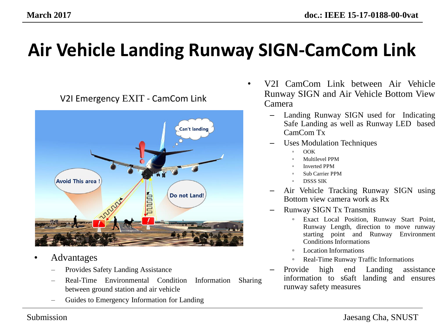# **Air Vehicle Landing Runway SIGN-CamCom Link**



- Advantages
	- Provides Safety Landing Assistance
	- Real-Time Environmental Condition Information Sharing between ground station and air vehicle
	- Guides to Emergency Information for Landing
- V2I CamCom Link between Air Vehicle Runway SIGN and Air Vehicle Bottom View Camera
	- Landing Runway SIGN used for Indicating Safe Landing as well as Runway LED based CamCom Tx
	- Uses Modulation Techniques
		- OOK
		- Multilevel PPM
		- Inverted PPM
		- Sub Carrier PPM
		- DSSS SIK
	- Air Vehicle Tracking Runway SIGN using Bottom view camera work as Rx
	- Runway SIGN Tx Transmits
		- Exact Local Position, Runway Start Point, Runway Length, direction to move runway starting point and Runway Environment Conditions Informations
		- Location Informations
		- Real-Time Runway Traffic Informations
	- Provide high end Landing assistance information to s6aft landing and ensures runway safety measures